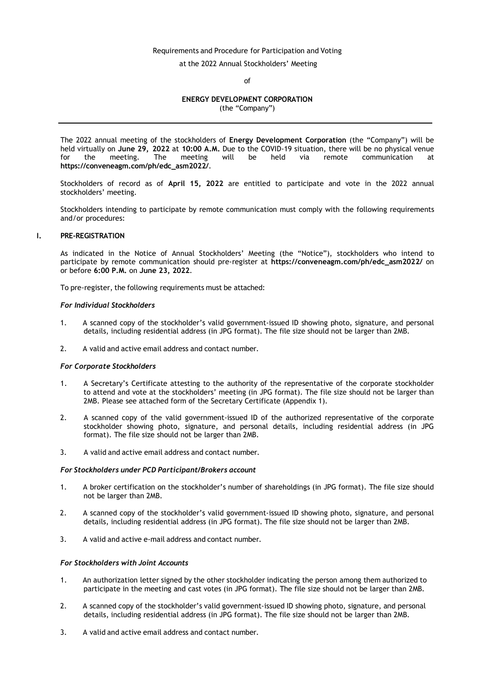# Requirements and Procedure for Participation and Voting

at the 2022 Annual Stockholders' Meeting

of

# **ENERGY DEVELOPMENT CORPORATION**

(the "Company")

The 2022 annual meeting of the stockholders of **Energy Development Corporation** (the "Company") will be held virtually on **June 29, 2022** at **10:00 A.M.** Due to the COVID-19 situation, there will be no physical venue for the meeting. The meeting will be held via remote communication **[https://conveneagm.com/ph/edc\\_asm2022/](https://conveneagm.com/ph/edc_asm2022/)**.

Stockholders of record as of **April 15, 2022** are entitled to participate and vote in the 2022 annual stockholders' meeting.

Stockholders intending to participate by remote communication must comply with the following requirements and/or procedures:

## **I. PRE-REGISTRATION**

As indicated in the Notice of Annual Stockholders' Meeting (the "Notice"), stockholders who intend to participate by remote communication should pre-register at **[https://conveneagm.com/ph/edc\\_asm2022/](https://conveneagm.com/ph/edc_asm2022/)** on or before **6:00 P.M.** on **June 23, 2022**.

To pre-register, the following requirements must be attached:

#### *For Individual Stockholders*

- 1. A scanned copy of the stockholder's valid government-issued ID showing photo, signature, and personal details, including residential address (in JPG format). The file size should not be larger than 2MB.
- 2. A valid and active email address and contact number.

## *For Corporate Stockholders*

- 1. A Secretary's Certificate attesting to the authority of the representative of the corporate stockholder to attend and vote at the stockholders' meeting (in JPG format). The file size should not be larger than 2MB. Please see attached form of the Secretary Certificate (Appendix 1).
- 2. A scanned copy of the valid government-issued ID of the authorized representative of the corporate stockholder showing photo, signature, and personal details, including residential address (in JPG format). The file size should not be larger than 2MB.
- 3. A valid and active email address and contact number.

#### *For Stockholders under PCD Participant/Brokers account*

- 1. A broker certification on the stockholder's number of shareholdings (in JPG format). The file size should not be larger than 2MB.
- 2. A scanned copy of the stockholder's valid government-issued ID showing photo, signature, and personal details, including residential address (in JPG format). The file size should not be larger than 2MB.
- 3. A valid and active e-mail address and contact number.

## *For Stockholders with Joint Accounts*

- 1. An authorization letter signed by the other stockholder indicating the person among them authorized to participate in the meeting and cast votes (in JPG format). The file size should not be larger than 2MB.
- 2. A scanned copy of the stockholder's valid government-issued ID showing photo, signature, and personal details, including residential address (in JPG format). The file size should not be larger than 2MB.
- 3. A valid and active email address and contact number.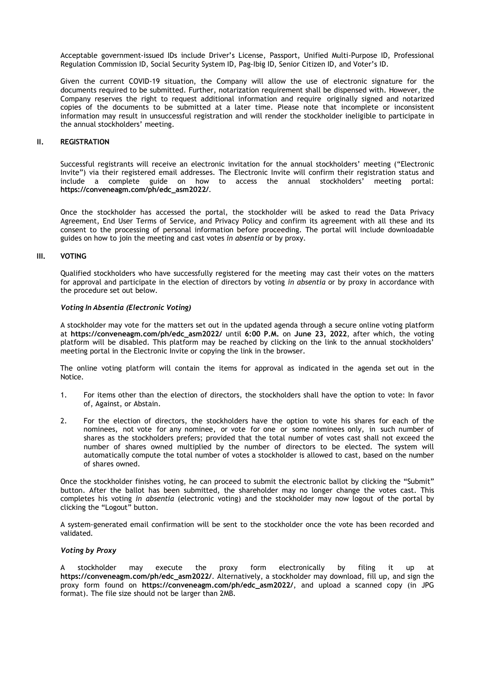Acceptable government-issued IDs include Driver's License, Passport, Unified Multi-Purpose ID, Professional Regulation Commission ID, Social Security System ID, Pag-Ibig ID, Senior Citizen ID, and Voter's ID.

Given the current COVID-19 situation, the Company will allow the use of electronic signature for the documents required to be submitted. Further, notarization requirement shall be dispensed with. However, the Company reserves the right to request additional information and require originally signed and notarized copies of the documents to be submitted at a later time. Please note that incomplete or inconsistent information may result in unsuccessful registration and will render the stockholder ineligible to participate in the annual stockholders' meeting.

## **II. REGISTRATION**

Successful registrants will receive an electronic invitation for the annual stockholders' meeting ("Electronic Invite") via their registered email addresses. The Electronic Invite will confirm their registration status and include a complete guide on how to access the annual stockholders' meeting portal: **[https://conveneagm.com/ph/edc\\_asm2022/](https://conveneagm.com/ph/edc_asm2022/)**.

Once the stockholder has accessed the portal, the stockholder will be asked to read the Data Privacy Agreement, End User Terms of Service, and Privacy Policy and confirm its agreement with all these and its consent to the processing of personal information before proceeding. The portal will include downloadable guides on how to join the meeting and cast votes *in absentia* or by proxy.

## **III. VOTING**

Qualified stockholders who have successfully registered for the meeting may cast their votes on the matters for approval and participate in the election of directors by voting *in absentia* or by proxy in accordance with the procedure set out below.

#### *Voting In Absentia (Electronic Voting)*

A stockholder may vote for the matters set out in the updated agenda through a secure online voting platform at **[https://conveneagm.com/ph/edc\\_asm2022/](https://conveneagm.com/ph/edc_asm2022/)** until **6:00 P.M.** on **June 23, 2022**, after which, the voting platform will be disabled. This platform may be reached by clicking on the link to the annual stockholders' meeting portal in the Electronic Invite or copying the link in the browser.

The online voting platform will contain the items for approval as indicated in the agenda set out in the Notice.

- 1. For items other than the election of directors, the stockholders shall have the option to vote: In favor of, Against, or Abstain.
- 2. For the election of directors, the stockholders have the option to vote his shares for each of the nominees, not vote for any nominee, or vote for one or some nominees only, in such number of shares as the stockholders prefers; provided that the total number of votes cast shall not exceed the number of shares owned multiplied by the number of directors to be elected. The system will automatically compute the total number of votes a stockholder is allowed to cast, based on the number of shares owned.

Once the stockholder finishes voting, he can proceed to submit the electronic ballot by clicking the "Submit" button. After the ballot has been submitted, the shareholder may no longer change the votes cast. This completes his voting *in absentia* (electronic voting) and the stockholder may now logout of the portal by clicking the "Logout" button.

A system-generated email confirmation will be sent to the stockholder once the vote has been recorded and validated.

## *Voting by Proxy*

A stockholder may execute the proxy form electronically by filing it up at **[https://conveneagm.com/ph/edc\\_asm2022/](https://conveneagm.com/ph/edc_asm2022/)**. Alternatively, a stockholder may download, fill up, and sign the proxy form found on **[https://conveneagm.com/ph/edc\\_asm2022/](https://conveneagm.com/ph/edc_asm2022/)**, and upload a scanned copy (in JPG format). The file size should not be larger than 2MB.